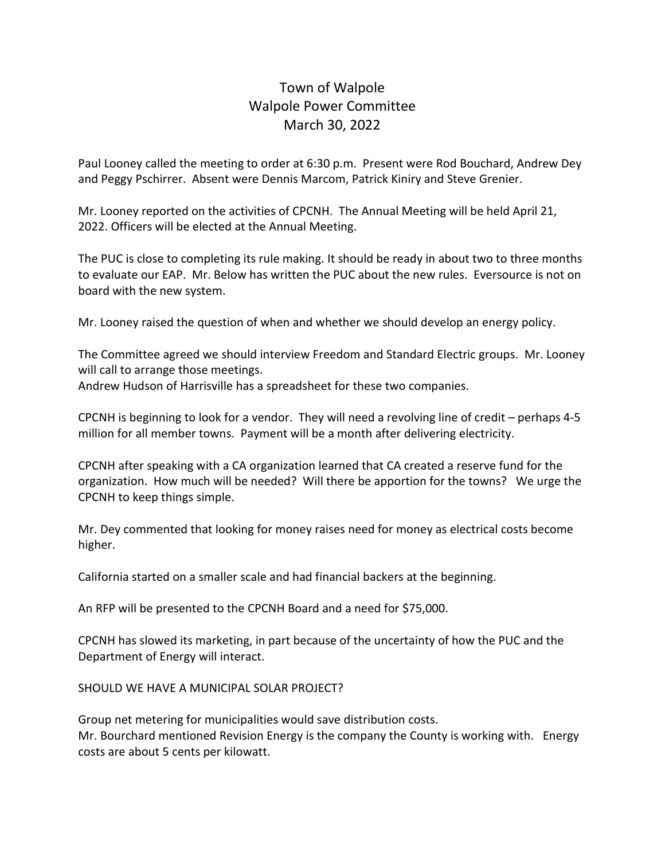## Town of Walpole Walpole Power Committee March 30, 2022

Paul Looney called the meeting to order at 6:30 p.m. Present were Rod Bouchard, Andrew Dey and Peggy Pschirrer. Absent were Dennis Marcom, Patrick Kiniry and Steve Grenier.

Mr. Looney reported on the activities of CPCNH. The Annual Meeting will be held April 21, 2022. Officers will be elected at the Annual Meeting.

The PUC is close to completing its rule making. It should be ready in about two to three months to evaluate our EAP. Mr. Below has written the PUC about the new rules. Eversource is not on board with the new system.

Mr. Looney raised the question of when and whether we should develop an energy policy.

The Committee agreed we should interview Freedom and Standard Electric groups. Mr. Looney will call to arrange those meetings.

Andrew Hudson of Harrisville has a spreadsheet for these two companies.

CPCNH is beginning to look for a vendor. They will need a revolving line of credit – perhaps 4-5 million for all member towns. Payment will be a month after delivering electricity.

CPCNH after speaking with a CA organization learned that CA created a reserve fund for the organization. How much will be needed? Will there be apportion for the towns? We urge the CPCNH to keep things simple.

Mr. Dey commented that looking for money raises need for money as electrical costs become higher.

California started on a smaller scale and had financial backers at the beginning.

An RFP will be presented to the CPCNH Board and a need for \$75,000.

CPCNH has slowed its marketing, in part because of the uncertainty of how the PUC and the Department of Energy will interact.

SHOULD WE HAVE A MUNICIPAL SOLAR PROJECT?

Group net metering for municipalities would save distribution costs. Mr. Bourchard mentioned Revision Energy is the company the County is working with. Energy costs are about 5 cents per kilowatt.